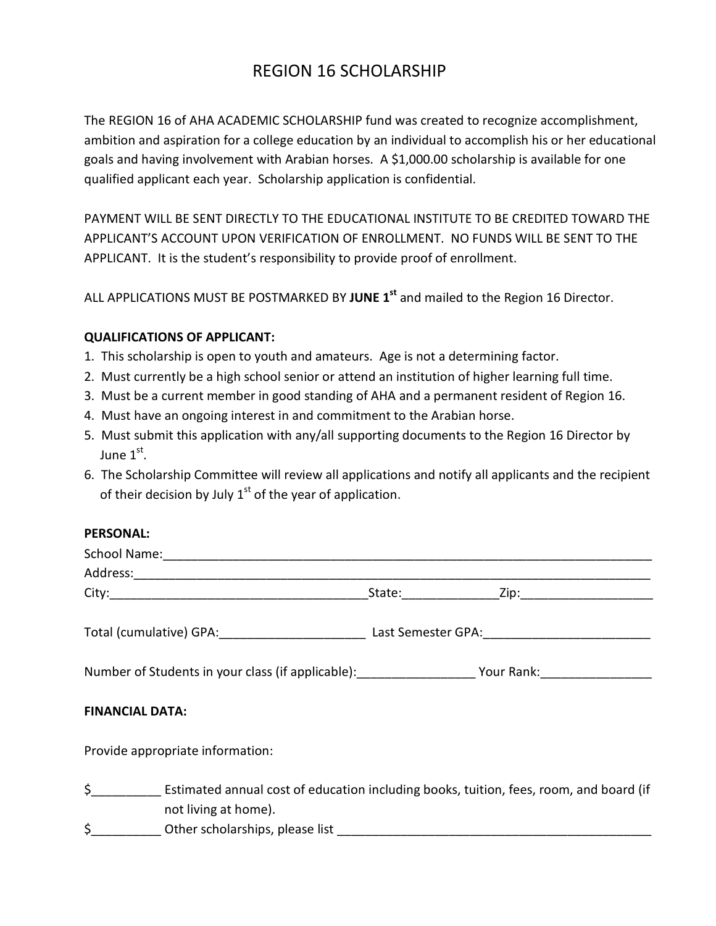## REGION 16 SCHOLARSHIP

The REGION 16 of AHA ACADEMIC SCHOLARSHIP fund was created to recognize accomplishment, ambition and aspiration for a college education by an individual to accomplish his or her educational goals and having involvement with Arabian horses. A \$1,000.00 scholarship is available for one qualified applicant each year. Scholarship application is confidential.

PAYMENT WILL BE SENT DIRECTLY TO THE EDUCATIONAL INSTITUTE TO BE CREDITED TOWARD THE APPLICANT'S ACCOUNT UPON VERIFICATION OF ENROLLMENT. NO FUNDS WILL BE SENT TO THE APPLICANT. It is the student's responsibility to provide proof of enrollment.

ALL APPLICATIONS MUST BE POSTMARKED BY **JUNE 1st** and mailed to the Region 16 Director.

## **QUALIFICATIONS OF APPLICANT:**

- 1. This scholarship is open to youth and amateurs. Age is not a determining factor.
- 2. Must currently be a high school senior or attend an institution of higher learning full time.
- 3. Must be a current member in good standing of AHA and a permanent resident of Region 16.
- 4. Must have an ongoing interest in and commitment to the Arabian horse.
- 5. Must submit this application with any/all supporting documents to the Region 16 Director by June  $1<sup>st</sup>$ .
- 6. The Scholarship Committee will review all applications and notify all applicants and the recipient of their decision by July  $1<sup>st</sup>$  of the year of application.

## **PERSONAL:**

| Number of Students in your class (if applicable): ______________________Your Rank: _________________ |  |  |  |  |
|------------------------------------------------------------------------------------------------------|--|--|--|--|
| <b>FINANCIAL DATA:</b>                                                                               |  |  |  |  |
| Provide appropriate information:                                                                     |  |  |  |  |
| Estimated annual cost of education including books, tuition, fees, room, and board (if               |  |  |  |  |
| not living at home).                                                                                 |  |  |  |  |
| \$                                                                                                   |  |  |  |  |